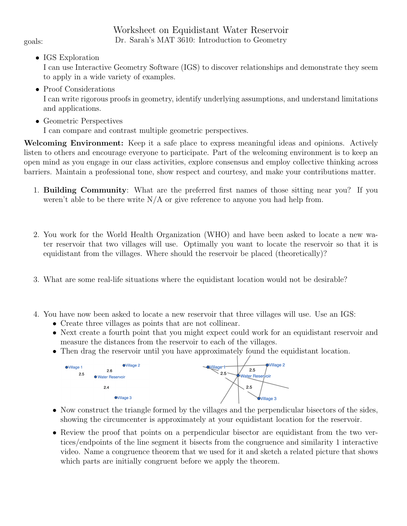## Worksheet on Equidistant Water Reservoir goals: Dr. Sarah's MAT 3610: Introduction to Geometry

• IGS Exploration

I can use Interactive Geometry Software (IGS) to discover relationships and demonstrate they seem to apply in a wide variety of examples.

- Proof Considerations I can write rigorous proofs in geometry, identify underlying assumptions, and understand limitations and applications.
- Geometric Perspectives

I can compare and contrast multiple geometric perspectives.

Welcoming Environment: Keep it a safe place to express meaningful ideas and opinions. Actively listen to others and encourage everyone to participate. Part of the welcoming environment is to keep an open mind as you engage in our class activities, explore consensus and employ collective thinking across barriers. Maintain a professional tone, show respect and courtesy, and make your contributions matter.

- 1. Building Community: What are the preferred first names of those sitting near you? If you weren't able to be there write  $N/A$  or give reference to anyone you had help from.
- 2. You work for the World Health Organization (WHO) and have been asked to locate a new water reservoir that two villages will use. Optimally you want to locate the reservoir so that it is equidistant from the villages. Where should the reservoir be placed (theoretically)?
- 3. What are some real-life situations where the equidistant location would not be desirable?
- 4. You have now been asked to locate a new reservoir that three villages will use. Use an IGS:
	- Create three villages as points that are not collinear.
	- Next create a fourth point that you might expect could work for an equidistant reservoir and measure the distances from the reservoir to each of the villages.
	- Then drag the reservoir until you have approximately found the equidistant location.



- Now construct the triangle formed by the villages and the perpendicular bisectors of the sides, showing the circumcenter is approximately at your equidistant location for the reservoir.
- Review the proof that points on a perpendicular bisector are equidistant from the two vertices/endpoints of the line segment it bisects from the congruence and similarity 1 interactive video. Name a congruence theorem that we used for it and sketch a related picture that shows which parts are initially congruent before we apply the theorem.